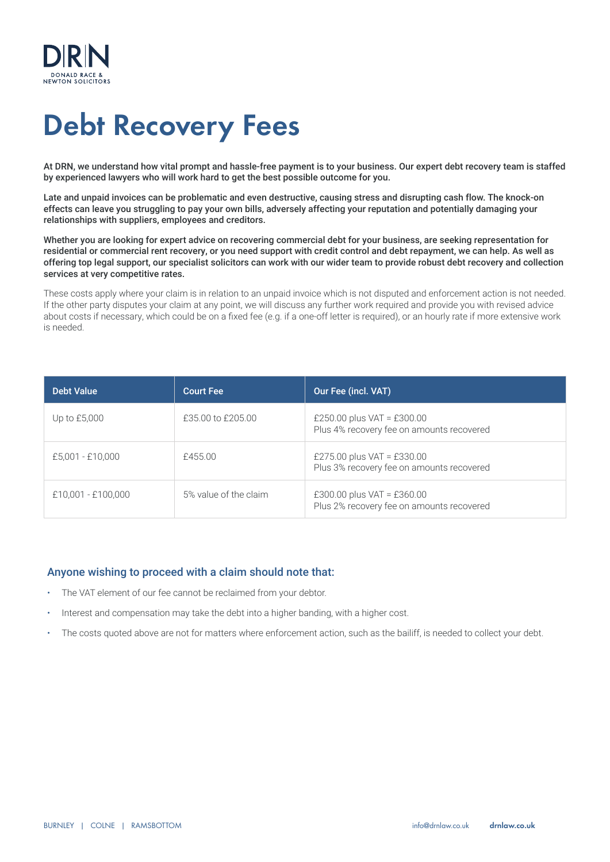

# Debt Recovery Fees

At DRN, we understand how vital prompt and hassle-free payment is to your business. Our expert debt recovery team is staffed by experienced lawyers who will work hard to get the best possible outcome for you.

Late and unpaid invoices can be problematic and even destructive, causing stress and disrupting cash flow. The knock-on effects can leave you struggling to pay your own bills, adversely affecting your reputation and potentially damaging your relationships with suppliers, employees and creditors.

Whether you are looking for expert advice on recovering commercial debt for your business, are seeking representation for residential or commercial rent recovery, or you need support with credit control and debt repayment, we can help. As well as offering top legal support, our specialist solicitors can work with our wider team to provide robust debt recovery and collection services at very competitive rates.

These costs apply where your claim is in relation to an unpaid invoice which is not disputed and enforcement action is not needed. If the other party disputes your claim at any point, we will discuss any further work required and provide you with revised advice about costs if necessary, which could be on a fixed fee (e.g. if a one-off letter is required), or an hourly rate if more extensive work is needed.

| <b>Debt Value</b>  | <b>Court Fee</b>      | Our Fee (incl. VAT)                                                     |
|--------------------|-----------------------|-------------------------------------------------------------------------|
| Up to $£5,000$     | £35,00 to £205,00     | £250.00 plus VAT = £300.00<br>Plus 4% recovery fee on amounts recovered |
| £5,001 - £10,000   | £455.00               | £275.00 plus VAT = £330.00<br>Plus 3% recovery fee on amounts recovered |
| £10,001 - £100,000 | 5% value of the claim | £300.00 plus VAT = £360.00<br>Plus 2% recovery fee on amounts recovered |

#### Anyone wishing to proceed with a claim should note that:

- The VAT element of our fee cannot be reclaimed from your debtor.
- Interest and compensation may take the debt into a higher banding, with a higher cost.
- The costs quoted above are not for matters where enforcement action, such as the bailiff, is needed to collect your debt.